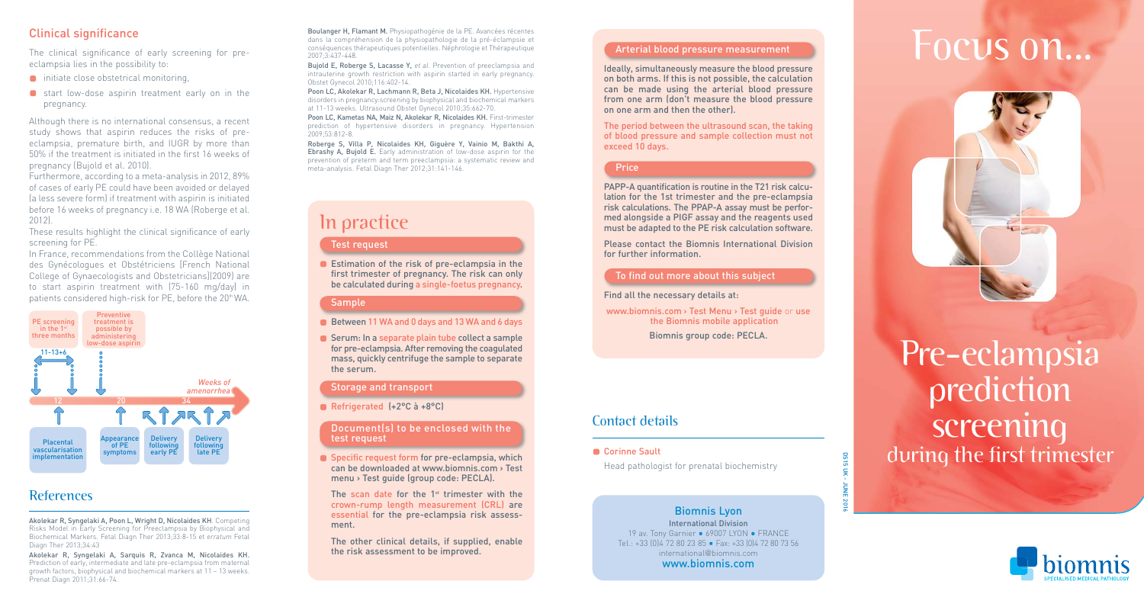eclampsia lies in the possibility to:

- **n** initiate close obstetrical monitoring,
- $\Box$  start low-dose aspirin treatment early on in the pregnancy.

Although there is no international consensus, a recent study shows that aspirin reduces the risks of preeclampsia, premature birth, and IUGR by more than 50% if the treatment is initiated in the first 16 weeks of pregnancy (Bujold et al. 2010).

Furthermore, according to a meta-analysis in 2012, 89% of cases of early PE could have been avoided or delayed (a less severe form) if treatment with aspirin is initiated before 16 weeks of pregnancy i.e. 18 WA (Roberge et al. 2012).

These results highlight the clinical significance of early screening for PE.

In France, recommendations from the Collège National des Gynécologues et Obstétriciens [French National College of Gynaecologists and Obstetricians](2009) are to start aspirin treatment with (75-160 mg/day) in patients considered high-risk for PE, before the 20<sup>th</sup> WA.



# **References**

Akolekar R, Syngelaki A, Poon L, Wright D, Nicolaides KH. Competing Risks Model in Early Screening for Preeclampsia by Biophysical and Biochemical Markers. Fetal Diagn Ther 2013;33:8-15 et *erratum* Fetal Diagn Ther 2013;34:43

Akolekar R, Syngelaki A, Sarquis R, Zvanca M, Nicolaides KH. Prediction of early, intermediate and late pre-eclampsia from maternal growth factors, biophysical and biochemical markers at 11 – 13 weeks. Prenat Diagn 2011;31:66-74.

Clinical significance<br>The clinical significance of early screening for pre-<br>
The clinical significance of early screening for pre-<br>
The clinical significance of early screening for pre-<br>
The clinical significance of early Boulanger H, Flamant M. Physiopathogénie de la PE. Avancées récentes dans la compréhension de la physiopathologie de la pré-éclampsie et conséquences thérapeutiques potentielles. Néphrologie et Thérapeutique 2007;3:437-448.

Bujold E, Roberge S, Lacasse Y, *et al*. Prevention of preeclampsia and intrauterine growth restriction with aspirin started in early pregnancy. Obstet Gynecol 2010;116:402-14.

Poon LC, Akolekar R, Lachmann R, Beta J, Nicolaides KH. Hypertensive disorders in pregnancy:screening by biophysical and biochemical markers at 11-13 weeks. Ultrasound Obstet Gynecol 2010;35:662-70.

Poon LC, Kametas NA, Maiz N, Akolekar R, Nicolaides KH. First-trimester prediction of hypertensive disorders in pregnancy. Hypertension 2009;53:812-8.

Roberge S, Villa P, Nicolaides KH, Giguère Y, Vainio M, Bakthi A, Ebrashy A, Bujold E. Early administration of low-dose aspirin for the prevention of preterm and term preeclampsia: a systematic review and meta-analysis. Fetal Diagn Ther 2012;31:141-146.

# In practice

#### Test request

**Estimation of the risk of pre-eclampsia in the** first trimester of pregnancy. The risk can only be calculated during a single-foetus pregnancy.

#### Sample

- Between 11 WA and 0 days and 13 WA and 6 days
- Serum: In a separate plain tube collect a sample for pre-eclampsia. After removing the coagulated mass, quickly centrifuge the sample to separate the serum.

#### Storage and transport

Refrigerated (+2°C à +8°C)

#### Document(s) to be enclosed with the test request

Specific request form for pre-eclampsia, which can be downloaded at www.biomnis.com > Test menu > Test guide (group code: PECLA).

The scan date for the  $1<sup>st</sup>$  trimester with the crown-rump length measurement (CRL) are essential for the pre-eclampsia risk assessment.

The other clinical details, if supplied, enable the risk assessment to be improved.

#### Arterial blood pressure measurement

Ideally, simultaneously measure the blood pressure on both arms. If this is not possible, the calculation can be made using the arterial blood pressure from one arm (don't measure the blood pressure on one arm and then the other).

The period between the ultrasound scan, the taking of blood pressure and sample collection must not exceed 10 days.

#### **Price**

PAPP-A quantification is routine in the T21 risk calculation for the 1st trimester and the pre-eclampsia risk calculations. The PPAP-A assay must be performed alongside a PIGF assay and the reagents used must be adapted to the PE risk calculation software.

Please contact the Biomnis International Division for further information.

#### To find out more about this subject

Find all the necessary details at:

www.biomnis.com > Test Menu > Test guide or use the Biomnis mobile application Biomnis group code: PECLA.

### Contact details

#### ■ Corinne Sault

Head pathologist for prenatal biochemistry

Biomnis Lyon International Division 19 av. Tony Garnier • 69007 LYON • FRANCE Tel.: +33 (0) 4 72 80 23 85 · Fax: +33 (0) 4 72 80 73 56 international@biomnis.com www.biomnis.com



# Pre-eclampsia prediction screening **Example 15 Uk right** during the first trimester